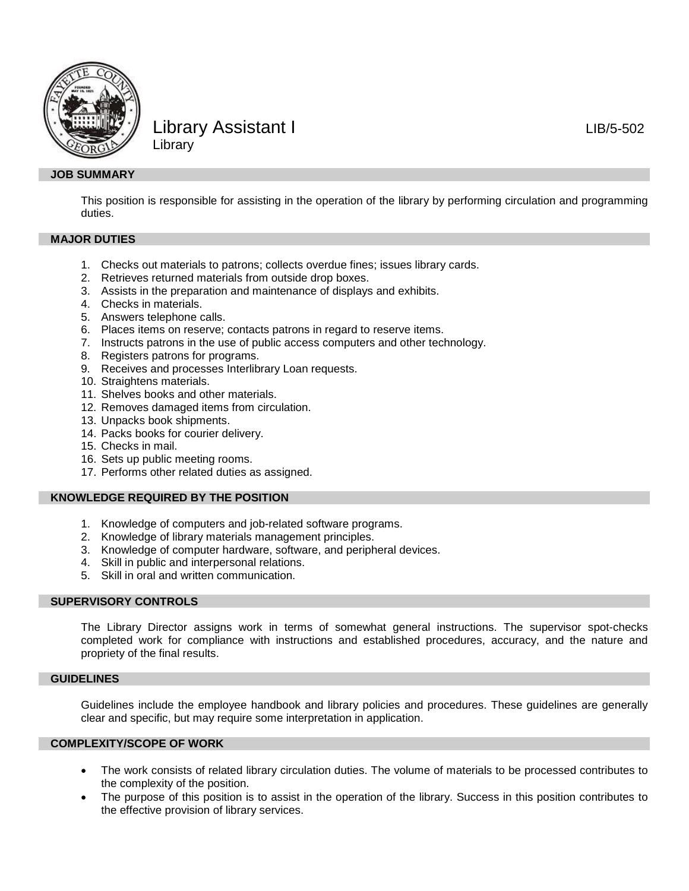

# Library Assistant I and the LIB/5-502 Library

## **JOB SUMMARY**

This position is responsible for assisting in the operation of the library by performing circulation and programming duties.

### **MAJOR DUTIES**

- 1. Checks out materials to patrons; collects overdue fines; issues library cards.
- 2. Retrieves returned materials from outside drop boxes.
- 3. Assists in the preparation and maintenance of displays and exhibits.
- 4. Checks in materials.
- 5. Answers telephone calls.
- 6. Places items on reserve; contacts patrons in regard to reserve items.
- 7. Instructs patrons in the use of public access computers and other technology.
- 8. Registers patrons for programs.
- 9. Receives and processes Interlibrary Loan requests.
- 10. Straightens materials.
- 11. Shelves books and other materials.
- 12. Removes damaged items from circulation.
- 13. Unpacks book shipments.
- 14. Packs books for courier delivery.
- 15. Checks in mail.
- 16. Sets up public meeting rooms.
- 17. Performs other related duties as assigned.

## **KNOWLEDGE REQUIRED BY THE POSITION**

- 1. Knowledge of computers and job-related software programs.
- 2. Knowledge of library materials management principles.
- 3. Knowledge of computer hardware, software, and peripheral devices.
- 4. Skill in public and interpersonal relations.
- 5. Skill in oral and written communication.

## **SUPERVISORY CONTROLS**

The Library Director assigns work in terms of somewhat general instructions. The supervisor spot-checks completed work for compliance with instructions and established procedures, accuracy, and the nature and propriety of the final results.

#### **GUIDELINES**

Guidelines include the employee handbook and library policies and procedures. These guidelines are generally clear and specific, but may require some interpretation in application.

## **COMPLEXITY/SCOPE OF WORK**

- The work consists of related library circulation duties. The volume of materials to be processed contributes to the complexity of the position.
- The purpose of this position is to assist in the operation of the library. Success in this position contributes to the effective provision of library services.